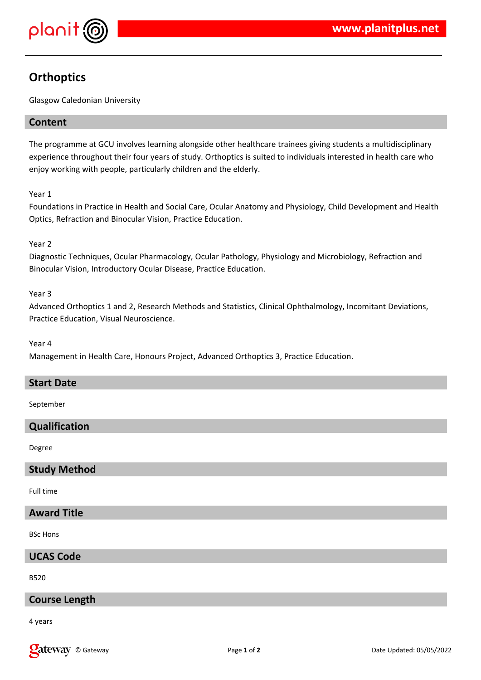

# **Orthoptics**

Glasgow Caledonian University

## **Content**

The programme at GCU involves learning alongside other healthcare trainees giving students a multidisciplinary experience throughout their four years of study. Orthoptics is suited to individuals interested in health care who enjoy working with people, particularly children and the elderly.

Year 1

Foundations in Practice in Health and Social Care, Ocular Anatomy and Physiology, Child Development and Health Optics, Refraction and Binocular Vision, Practice Education.

#### Year 2

Diagnostic Techniques, Ocular Pharmacology, Ocular Pathology, Physiology and Microbiology, Refraction and Binocular Vision, Introductory Ocular Disease, Practice Education.

#### Year 3

Advanced Orthoptics 1 and 2, Research Methods and Statistics, Clinical Ophthalmology, Incomitant Deviations, Practice Education, Visual Neuroscience.

#### Year 4

Management in Health Care, Honours Project, Advanced Orthoptics 3, Practice Education.

#### **Start Date**

September

## **Qualification**

Degree

#### **Study Method**

Full time

#### **Award Title**

BSc Hons

## **UCAS Code**

B520

## **Course Length**

4 years